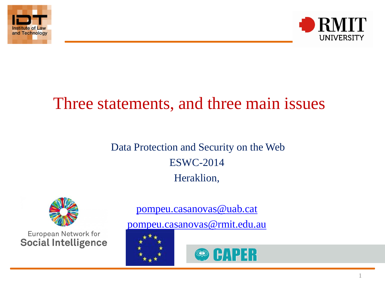



# Three statements, and three main issues

## Data Protection and Security on the Web ESWC-2014 Heraklion,



European Network for **Social Intelligence**  [pompeu.casanovas@uab.cat](mailto:pompeu.casanovas@uab.cat)

[pompeu.casanovas@rmit.edu.au](mailto:Pompeu.casanovas@rmit.edu.au)



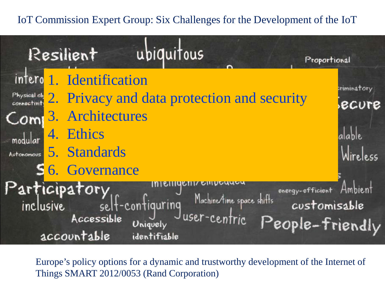#### IoT Commission Expert Group: Six Challenges for the Development of the IoT



Europe's policy options for a dynamic and trustworthy development of the Internet of Things SMART 2012/0053 (Rand Corporation)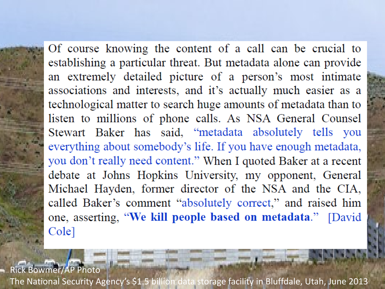Of course knowing the content of a call can be crucial to establishing a particular threat. But metadata alone can provide<br>an extremely detailed picture of a person's most intimate associations and interests, and it's actually much easier as a technological matter to search huge amounts of metadata than to listen to millions of phone calls. As NSA General Counsel Stewart Baker has said, "metadata absolutely tells you everything about somebody's life. If you have enough metadata, you don't really need content." When I quoted Baker at a recent debate at Johns Hopkins University, my opponent, General Michael Hayden, former director of the NSA and the CIA, called Baker's comment "absolutely correct," and raised him one, asserting, "We kill people based on metadata." [David Cole]

Rick Bowmer/AP Photo

3 [The National Security Agency's \\$1.5 billion data storage facility in Bluffdale, Utah, June 2013](http://www.nybooks.com/media/img/blogimages/20140510-cole-1.jpg)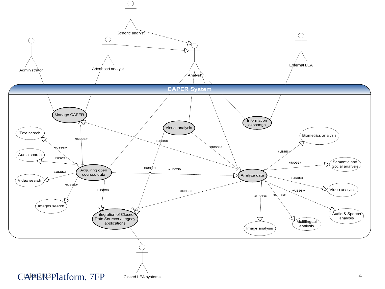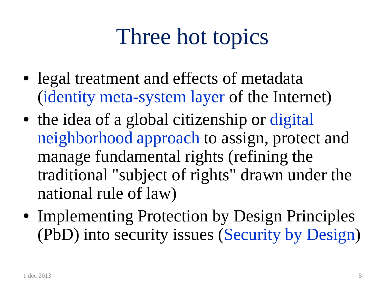# Three hot topics

- legal treatment and effects of metadata (identity meta-system layer of the Internet)
- the idea of a global citizenship or digital neighborhood approach to assign, protect and manage fundamental rights (refining the traditional "subject of rights" drawn under the national rule of law)
- Implementing Protection by Design Principles (PbD) into security issues (Security by Design)